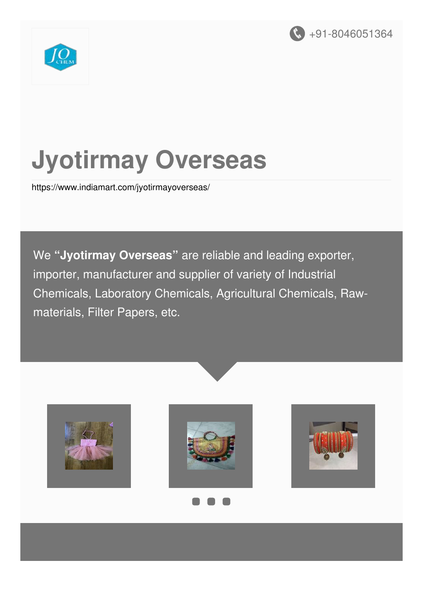



# **Jyotirmay Overseas**

<https://www.indiamart.com/jyotirmayoverseas/>

We **"Jyotirmay Overseas"** are reliable and leading exporter, importer, manufacturer and supplier of variety of Industrial Chemicals, Laboratory Chemicals, Agricultural Chemicals, Rawmaterials, Filter Papers, etc.









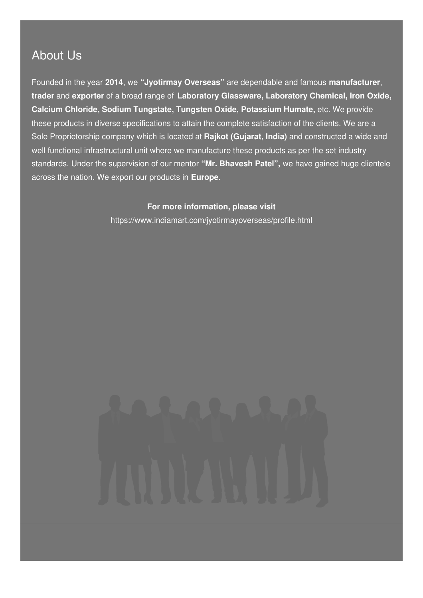### About Us

Founded in the year **2014**, we **"Jyotirmay Overseas"** are dependable and famous **manufacturer**, **trader** and **exporter** of a broad range of **Laboratory Glassware, Laboratory Chemical, Iron Oxide, Calcium Chloride, Sodium Tungstate, Tungsten Oxide, Potassium Humate,** etc. We provide these products in diverse specifications to attain the complete satisfaction of the clients. We are a Sole Proprietorship company which is located at **Rajkot (Gujarat, India)** and constructed a wide and well functional infrastructural unit where we manufacture these products as per the set industry standards. Under the supervision of our mentor **"Mr. Bhavesh Patel",** we have gained huge clientele across the nation. We export our products in **Europe**.

#### **For more information, please visit**

<https://www.indiamart.com/jyotirmayoverseas/profile.html>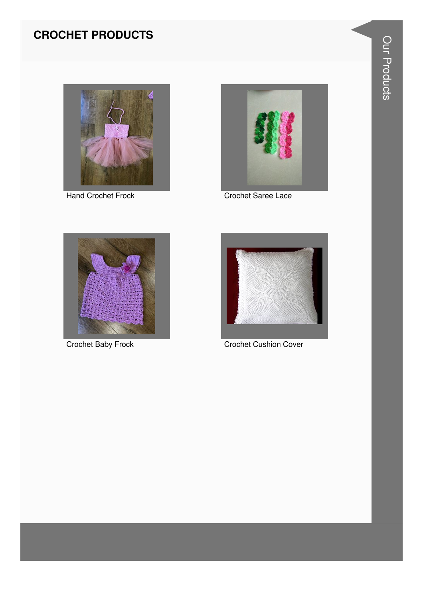#### **CROCHET PRODUCTS**



**Hand Crochet Frock** 



Crochet Saree Lace



**Crochet Baby Frock** 



**Crochet Cushion Cover**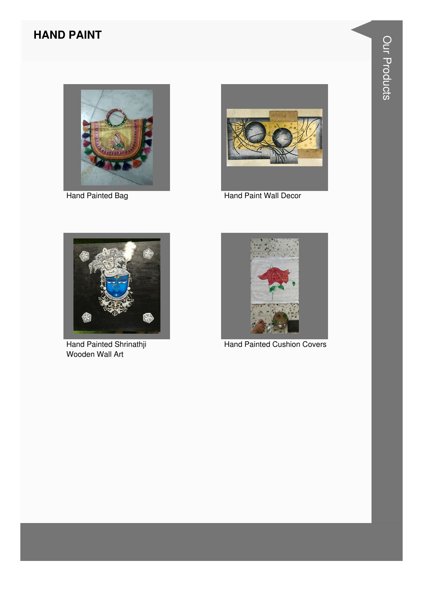#### **HAND PAINT**



Hand Painted Bag



**Hand Paint Wall Decor** 



Hand Painted Shrinathji Wooden Wall Art



**Hand Painted Cushion Covers**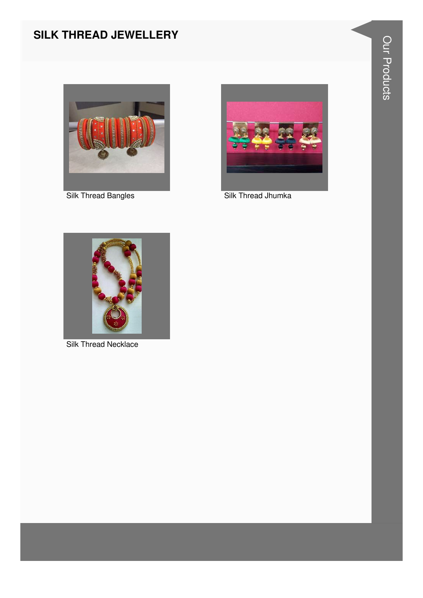#### **SILK THREAD JEWELLERY**



**Silk Thread Bangles** 



Silk Thread Jhumka



**Silk Thread Necklace**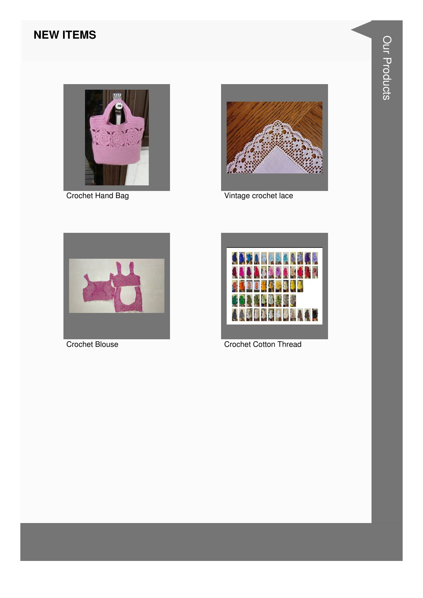#### **NEW ITEMS**



**Crochet Hand Bag** 



Vintage crochet lace



**Crochet Blouse** 



**Crochet Cotton Thread**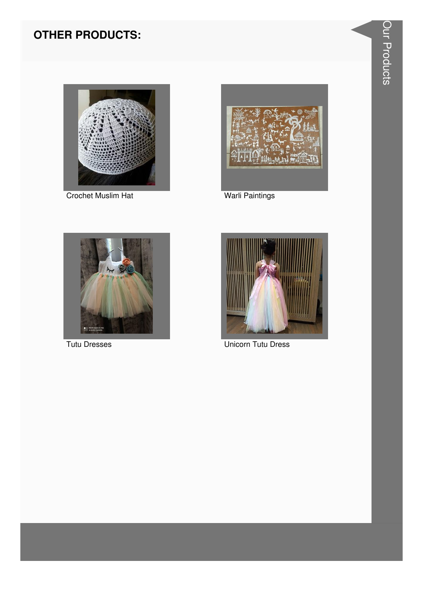

**Crochet Muslim Hat** 



**Warli Paintings** 



**Tutu Dresses** 



**Unicorn Tutu Dress**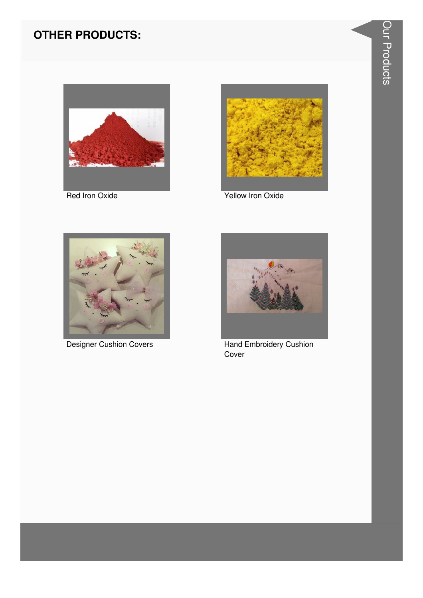



Red Iron Oxide Yellow Iron Oxide





Designer Cushion Covers **Hand Embroidery Cushion** Cover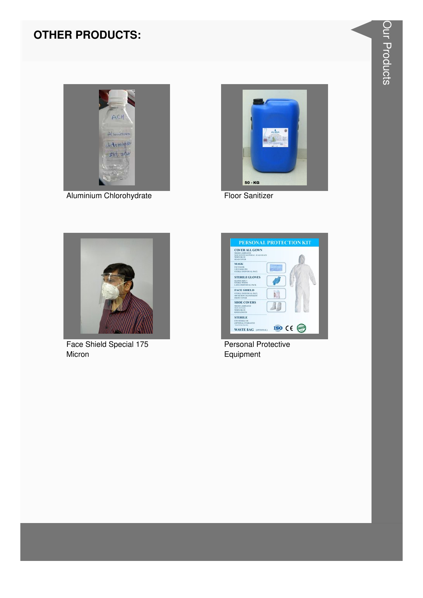

Aluminium Chlorohydrate



**Floor Sanitizer** 



Face Shield Special 175 Micron



**Personal Protective** Equipment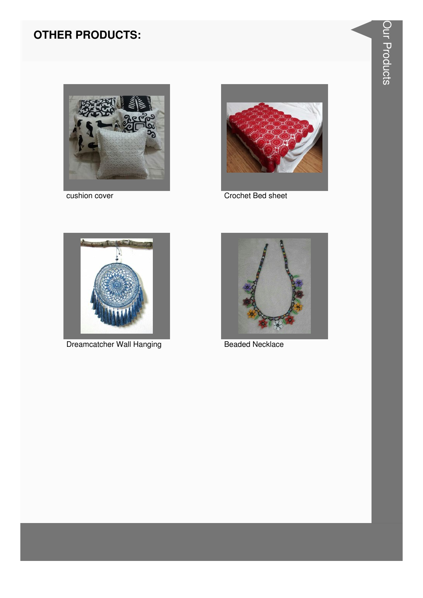

cushion cover



Crochet Bed sheet



**Dreamcatcher Wall Hanging** 



**Beaded Necklace**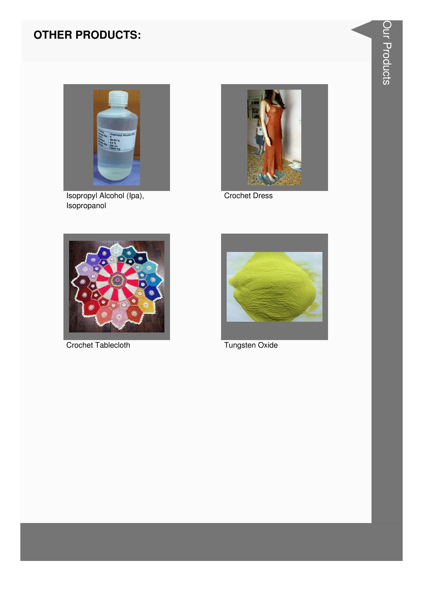

Isopropyl Alcohol (Ipa),<br>Isopropanol



**Crochet Dress** 



**Crochet Tablecloth** 



Tungsten Oxide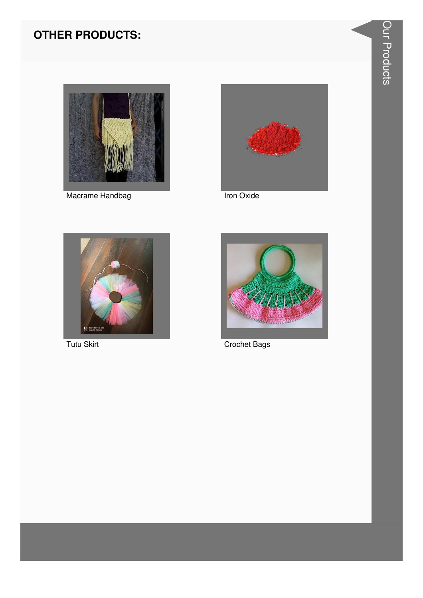

Macrame Handbag



Iron Oxide



Tutu Skirt



**Crochet Bags**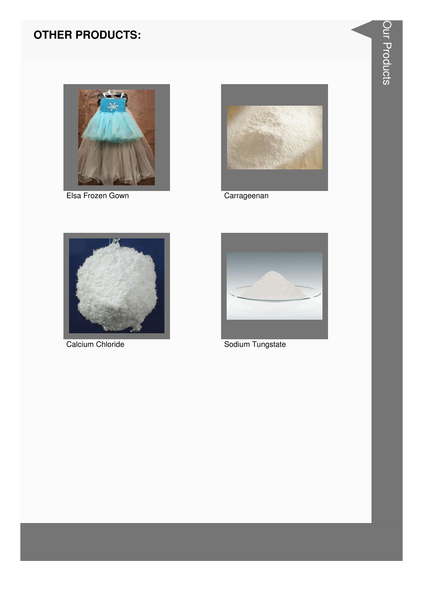

Elsa Frozen Gown



Carrageenan



Calcium Chloride



Sodium Tungstate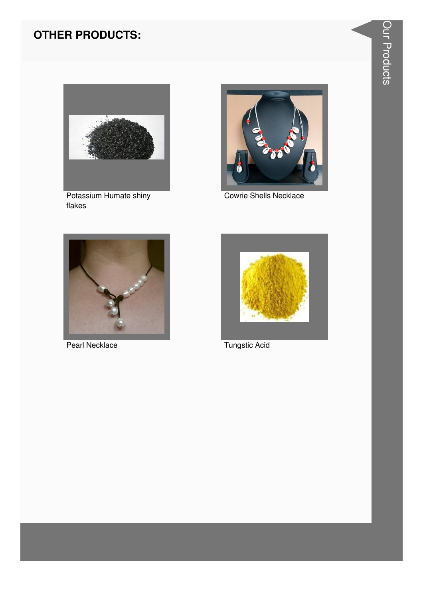

Potassium Humate shiny flakes



**Cowrie Shells Necklace** 



Pearl Necklace



**Tungstic Acid**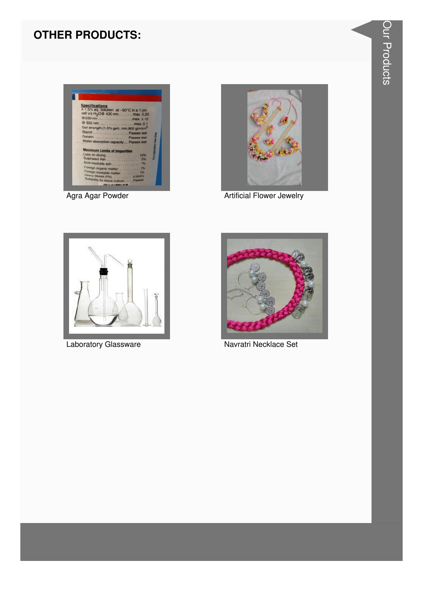

Agra Agar Powder



**Artificial Flower Jewelry** 



Laboratory Glassware



Navratri Necklace Set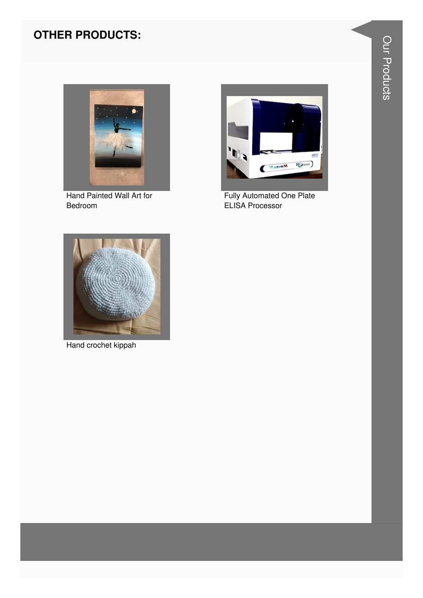

Hand Painted Wall Art for Bedroom



Fully Automated One Plate<br>ELISA Processor



Hand crochet kippah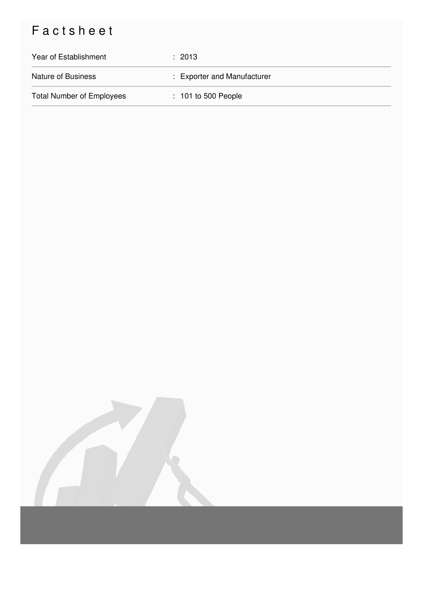## Factsheet

| Year of Establishment            | $\pm 2013$                  |
|----------------------------------|-----------------------------|
| <b>Nature of Business</b>        | : Exporter and Manufacturer |
| <b>Total Number of Employees</b> | $: 101$ to 500 People       |